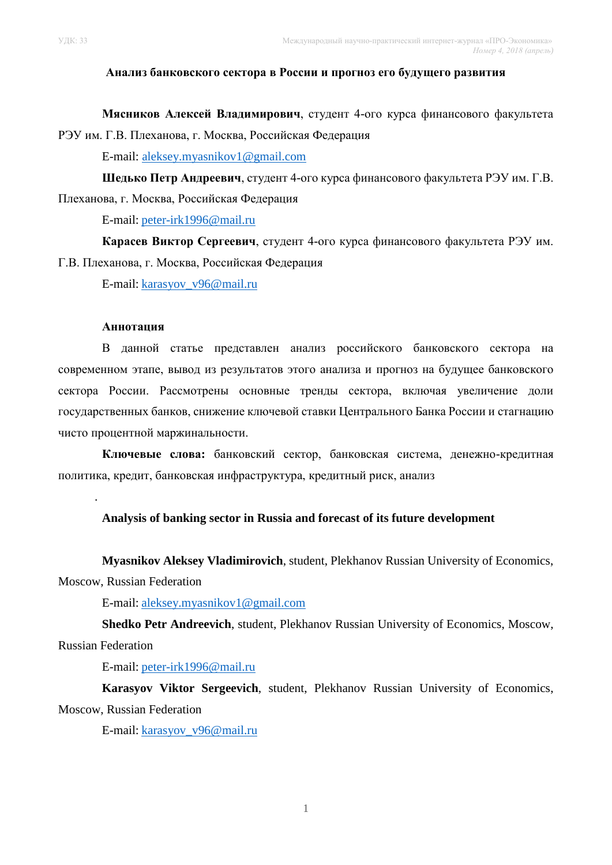### **Анализ банковского сектора в России и прогноз его будущего развития**

**Мясников Алексей Владимирович**, студент 4-ого курса финансового факультета РЭУ им. Г.В. Плеханова, г. Москва, Российская Федерация

E-mail: [aleksey.myasnikov1@gmail.com](mailto:aleksey.myasnikov1@gmail.com)

**Шедько Петр Андреевич**, студент 4-ого курса финансового факультета РЭУ им. Г.В. Плеханова, г. Москва, Российская Федерация

E-mail: [peter-irk1996@mail.ru](mailto:peter-irk1996@mail.ru)

**Карасев Виктор Сергеевич**, студент 4-ого курса финансового факультета РЭУ им. Г.В. Плеханова, г. Москва, Российская Федерация

E-mail: [karasyov\\_v96@mail.ru](mailto:karasyov_v96@mail.ru)

#### **Аннотация**

В данной статье представлен анализ российского банковского сектора на современном этапе, вывод из результатов этого анализа и прогноз на будущее банковского сектора России. Рассмотрены основные тренды сектора, включая увеличение доли государственных банков, снижение ключевой ставки Центрального Банка России и стагнацию чисто процентной маржинальности.

**Ключевые слова:** банковский сектор, банковская система, денежно-кредитная политика, кредит, банковская инфраструктура, кредитный риск, анализ

### **Analysis of banking sector in Russia and forecast of its future development**

**Myasnikov Aleksey Vladimirovich**, student, Plekhanov Russian University of Economics,

Moscow, Russian Federation

.

E-mail: [aleksey.myasnikov1@gmail.com](mailto:aleksey.myasnikov1@gmail.com)

**Shedko Petr Andreevich**, student, Plekhanov Russian University of Economics, Moscow, Russian Federation

E-mail: [peter-irk1996@mail.ru](mailto:peter-irk1996@mail.ru)

**Karasyov Viktor Sergeevich**, student, Plekhanov Russian University of Economics, Moscow, Russian Federation

E-mail: [karasyov\\_v96@mail.ru](mailto:karasyov_v96@mail.ru)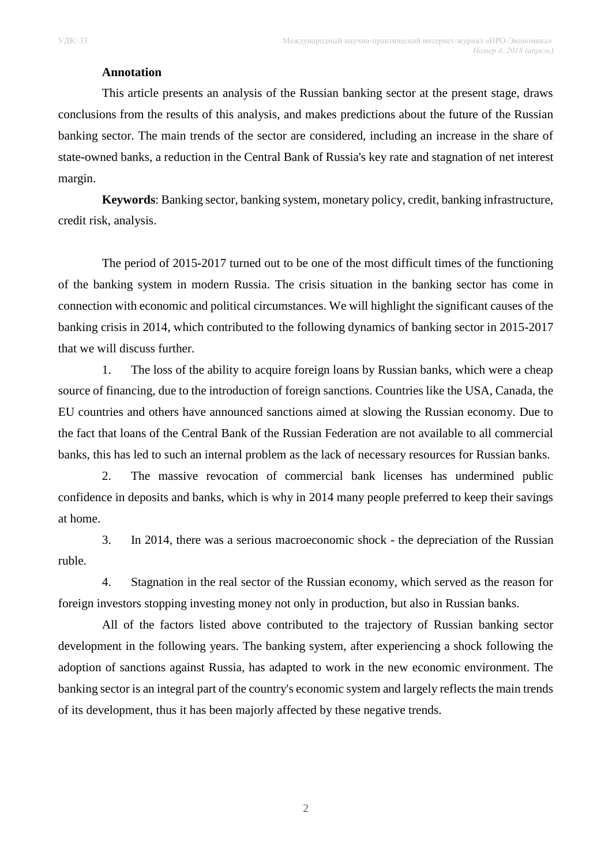### **Annotation**

This article presents an analysis of the Russian banking sector at the present stage, draws conclusions from the results of this analysis, and makes predictions about the future of the Russian banking sector. The main trends of the sector are considered, including an increase in the share of state-owned banks, a reduction in the Central Bank of Russia's key rate and stagnation of net interest margin.

**Keywords**: Banking sector, banking system, monetary policy, credit, banking infrastructure, credit risk, analysis.

The period of 2015-2017 turned out to be one of the most difficult times of the functioning of the banking system in modern Russia. The crisis situation in the banking sector has come in connection with economic and political circumstances. We will highlight the significant causes of the banking crisis in 2014, which contributed to the following dynamics of banking sector in 2015-2017 that we will discuss further.

1. The loss of the ability to acquire foreign loans by Russian banks, which were a cheap source of financing, due to the introduction of foreign sanctions. Countries like the USA, Canada, the EU countries and others have announced sanctions aimed at slowing the Russian economy. Due to the fact that loans of the Central Bank of the Russian Federation are not available to all commercial banks, this has led to such an internal problem as the lack of necessary resources for Russian banks.

2. The massive revocation of commercial bank licenses has undermined public confidence in deposits and banks, which is why in 2014 many people preferred to keep their savings at home.

3. In 2014, there was a serious macroeconomic shock - the depreciation of the Russian ruble.

4. Stagnation in the real sector of the Russian economy, which served as the reason for foreign investors stopping investing money not only in production, but also in Russian banks.

All of the factors listed above contributed to the trajectory of Russian banking sector development in the following years. The banking system, after experiencing a shock following the adoption of sanctions against Russia, has adapted to work in the new economic environment. The banking sector is an integral part of the country's economic system and largely reflects the main trends of its development, thus it has been majorly affected by these negative trends.

2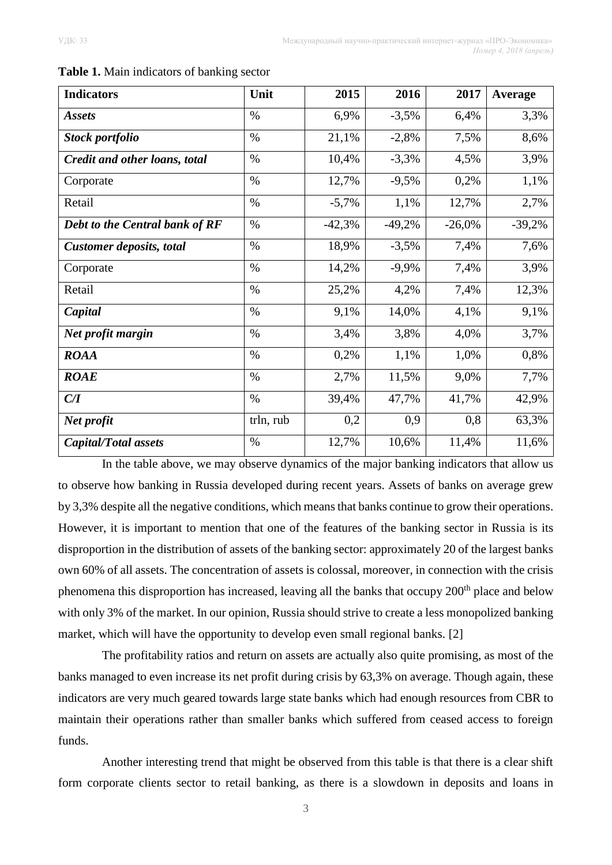| <b>Indicators</b>               | Unit          | 2015     | 2016     | 2017     | Average  |
|---------------------------------|---------------|----------|----------|----------|----------|
| <b>Assets</b>                   | $\frac{0}{0}$ | 6,9%     | $-3,5%$  | 6,4%     | 3,3%     |
| <b>Stock portfolio</b>          | $\%$          | 21,1%    | $-2,8%$  | 7,5%     | 8,6%     |
| Credit and other loans, total   | $\%$          | 10,4%    | $-3,3%$  | 4,5%     | 3,9%     |
| Corporate                       | $\%$          | 12,7%    | $-9,5%$  | 0,2%     | 1,1%     |
| Retail                          | $\%$          | $-5,7%$  | 1,1%     | 12,7%    | 2,7%     |
| Debt to the Central bank of RF  | $\%$          | $-42,3%$ | $-49,2%$ | $-26,0%$ | $-39,2%$ |
| <b>Customer deposits, total</b> | $\%$          | 18,9%    | $-3,5%$  | 7,4%     | 7,6%     |
| Corporate                       | $\%$          | 14,2%    | $-9,9%$  | 7,4%     | 3,9%     |
| Retail                          | $\%$          | 25,2%    | 4,2%     | 7,4%     | 12,3%    |
| Capital                         | $\%$          | 9,1%     | 14,0%    | 4,1%     | 9,1%     |
| Net profit margin               | $\%$          | 3,4%     | 3,8%     | 4,0%     | 3,7%     |
| <b>ROAA</b>                     | $\%$          | 0,2%     | 1,1%     | 1,0%     | 0,8%     |
| <b>ROAE</b>                     | $\%$          | 2,7%     | 11,5%    | 9,0%     | 7,7%     |
| C/I                             | $\%$          | 39,4%    | 47,7%    | 41,7%    | 42,9%    |
| Net profit                      | trln, rub     | 0,2      | 0,9      | 0,8      | 63,3%    |
| <b>Capital/Total assets</b>     | $\%$          | 12,7%    | 10,6%    | 11,4%    | 11,6%    |

**Table 1.** Main indicators of banking sector

In the table above, we may observe dynamics of the major banking indicators that allow us to observe how banking in Russia developed during recent years. Assets of banks on average grew by 3,3% despite all the negative conditions, which means that banks continue to grow their operations. However, it is important to mention that one of the features of the banking sector in Russia is its disproportion in the distribution of assets of the banking sector: approximately 20 of the largest banks own 60% of all assets. The concentration of assets is colossal, moreover, in connection with the crisis phenomena this disproportion has increased, leaving all the banks that occupy 200<sup>th</sup> place and below with only 3% of the market. In our opinion, Russia should strive to create a less monopolized banking market, which will have the opportunity to develop even small regional banks. [2]

The profitability ratios and return on assets are actually also quite promising, as most of the banks managed to even increase its net profit during crisis by 63,3% on average. Though again, these indicators are very much geared towards large state banks which had enough resources from CBR to maintain their operations rather than smaller banks which suffered from ceased access to foreign funds.

Another interesting trend that might be observed from this table is that there is a clear shift form corporate clients sector to retail banking, as there is a slowdown in deposits and loans in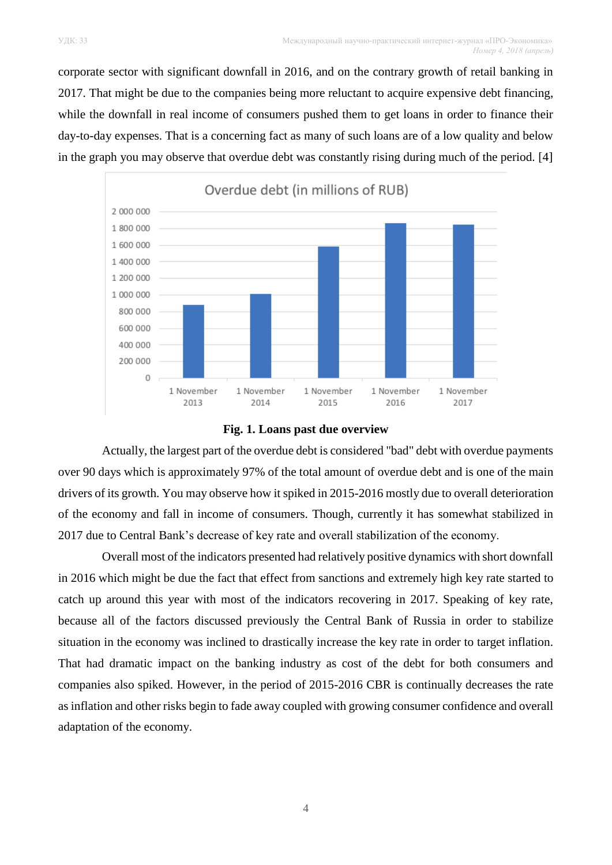corporate sector with significant downfall in 2016, and on the contrary growth of retail banking in 2017. That might be due to the companies being more reluctant to acquire expensive debt financing, while the downfall in real income of consumers pushed them to get loans in order to finance their day-to-day expenses. That is a concerning fact as many of such loans are of a low quality and below in the graph you may observe that overdue debt was constantly rising during much of the period. [4]





Actually, the largest part of the overdue debt is considered "bad" debt with overdue payments over 90 days which is approximately 97% of the total amount of overdue debt and is one of the main drivers of its growth. You may observe how it spiked in 2015-2016 mostly due to overall deterioration of the economy and fall in income of consumers. Though, currently it has somewhat stabilized in 2017 due to Central Bank's decrease of key rate and overall stabilization of the economy.

Overall most of the indicators presented had relatively positive dynamics with short downfall in 2016 which might be due the fact that effect from sanctions and extremely high key rate started to catch up around this year with most of the indicators recovering in 2017. Speaking of key rate, because all of the factors discussed previously the Central Bank of Russia in order to stabilize situation in the economy was inclined to drastically increase the key rate in order to target inflation. That had dramatic impact on the banking industry as cost of the debt for both consumers and companies also spiked. However, in the period of 2015-2016 CBR is continually decreases the rate as inflation and other risks begin to fade away coupled with growing consumer confidence and overall adaptation of the economy.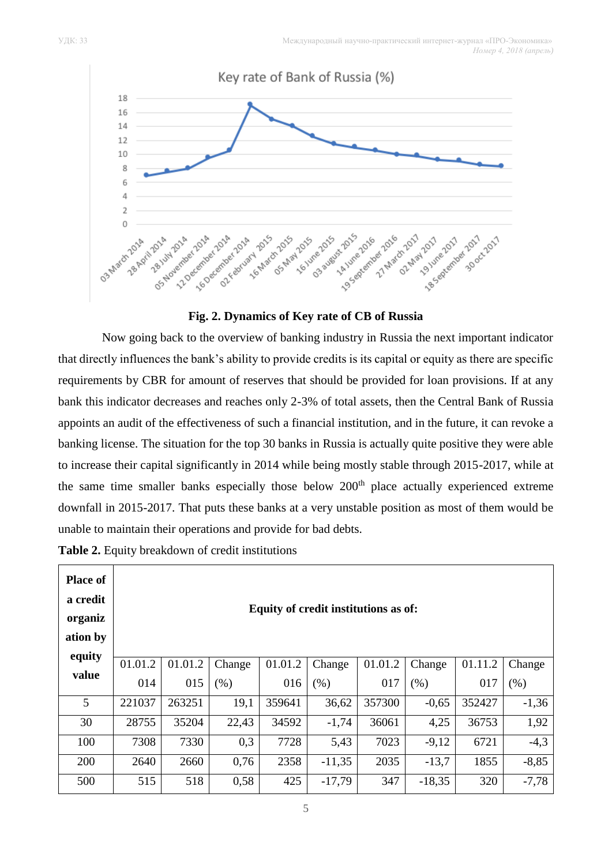

**Fig. 2. Dynamics of Key rate of CB of Russia**

Now going back to the overview of banking industry in Russia the next important indicator that directly influences the bank's ability to provide credits is its capital or equity as there are specific requirements by CBR for amount of reserves that should be provided for loan provisions. If at any bank this indicator decreases and reaches only 2-3% of total assets, then the Central Bank of Russia appoints an audit of the effectiveness of such a financial institution, and in the future, it can revoke a banking license. The situation for the top 30 banks in Russia is actually quite positive they were able to increase their capital significantly in 2014 while being mostly stable through 2015-2017, while at the same time smaller banks especially those below  $200<sup>th</sup>$  place actually experienced extreme downfall in 2015-2017. That puts these banks at a very unstable position as most of them would be unable to maintain their operations and provide for bad debts.

**Table 2.** Equity breakdown of credit institutions

| <b>Place of</b><br>a credit<br>organiz<br>ation by<br>equity | Equity of credit institutions as of: |         |        |         |          |         |          |         |         |  |  |  |
|--------------------------------------------------------------|--------------------------------------|---------|--------|---------|----------|---------|----------|---------|---------|--|--|--|
|                                                              | 01.01.2                              | 01.01.2 | Change | 01.01.2 | Change   | 01.01.2 | Change   | 01.11.2 | Change  |  |  |  |
| value                                                        | 014                                  | 015     | (% )   | 016     | $(\% )$  | 017     | (% )     | 017     | (% )    |  |  |  |
| 5                                                            | 221037                               | 263251  | 19,1   | 359641  | 36,62    | 357300  | $-0,65$  | 352427  | $-1,36$ |  |  |  |
| 30                                                           | 28755                                | 35204   | 22,43  | 34592   | $-1,74$  | 36061   | 4,25     | 36753   | 1,92    |  |  |  |
| 100                                                          | 7308                                 | 7330    | 0,3    | 7728    | 5,43     | 7023    | $-9,12$  | 6721    | $-4,3$  |  |  |  |
| 200                                                          | 2640                                 | 2660    | 0,76   | 2358    | $-11,35$ | 2035    | $-13,7$  | 1855    | $-8,85$ |  |  |  |
| 500                                                          | 515                                  | 518     | 0,58   | 425     | $-17,79$ | 347     | $-18,35$ | 320     | $-7,78$ |  |  |  |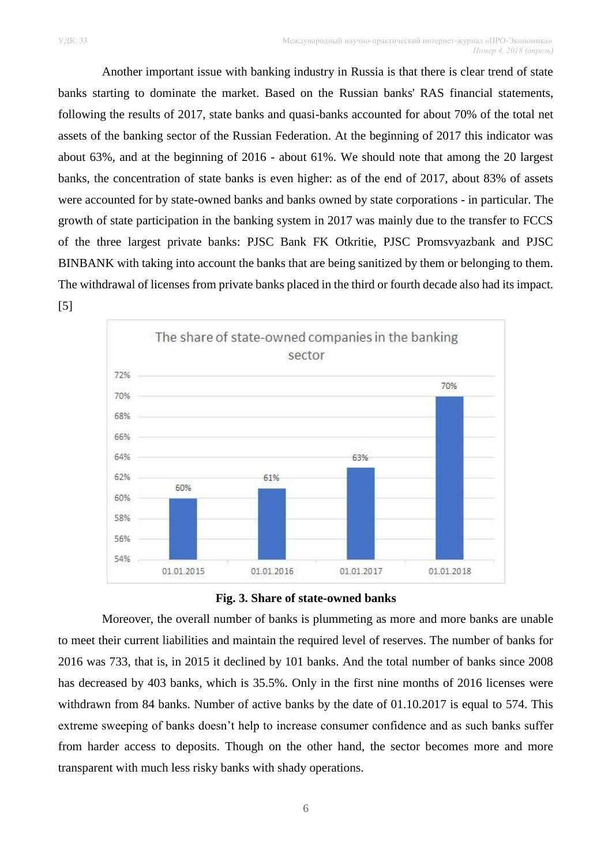Another important issue with banking industry in Russia is that there is clear trend of state banks starting to dominate the market. Based on the Russian banks' RAS financial statements, following the results of 2017, state banks and quasi-banks accounted for about 70% of the total net assets of the banking sector of the Russian Federation. At the beginning of 2017 this indicator was about 63%, and at the beginning of 2016 - about 61%. We should note that among the 20 largest banks, the concentration of state banks is even higher: as of the end of 2017, about 83% of assets were accounted for by state-owned banks and banks owned by state corporations - in particular. The growth of state participation in the banking system in 2017 was mainly due to the transfer to FCCS of the three largest private banks: PJSC Bank FK Otkritie, PJSC Promsvyazbank and PJSC BINBANK with taking into account the banks that are being sanitized by them or belonging to them. The withdrawal of licenses from private banks placed in the third or fourth decade also had its impact. [5]





Moreover, the overall number of banks is plummeting as more and more banks are unable to meet their current liabilities and maintain the required level of reserves. The number of banks for 2016 was 733, that is, in 2015 it declined by 101 banks. And the total number of banks since 2008 has decreased by 403 banks, which is 35.5%. Only in the first nine months of 2016 licenses were withdrawn from 84 banks. Number of active banks by the date of 01.10.2017 is equal to 574. This extreme sweeping of banks doesn't help to increase consumer confidence and as such banks suffer from harder access to deposits. Though on the other hand, the sector becomes more and more transparent with much less risky banks with shady operations.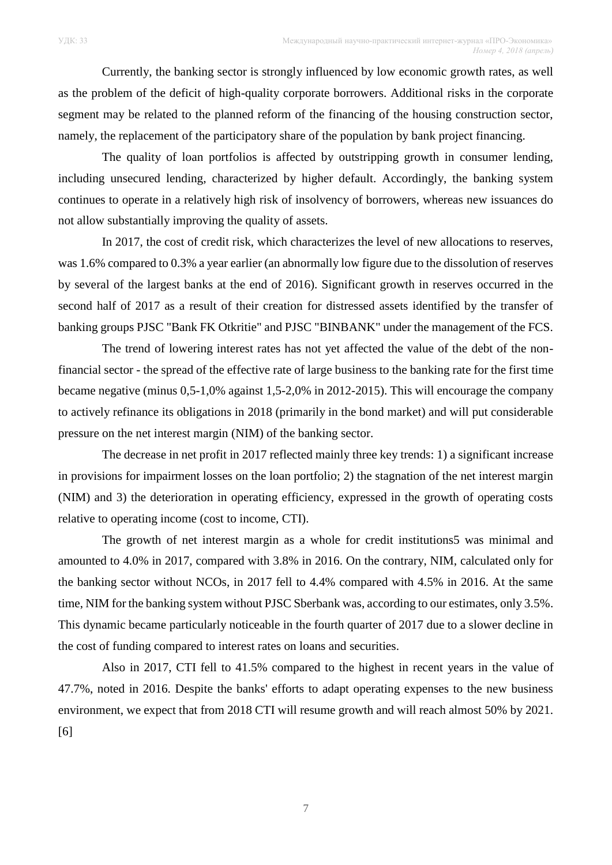Currently, the banking sector is strongly influenced by low economic growth rates, as well as the problem of the deficit of high-quality corporate borrowers. Additional risks in the corporate segment may be related to the planned reform of the financing of the housing construction sector, namely, the replacement of the participatory share of the population by bank project financing.

The quality of loan portfolios is affected by outstripping growth in consumer lending, including unsecured lending, characterized by higher default. Accordingly, the banking system continues to operate in a relatively high risk of insolvency of borrowers, whereas new issuances do not allow substantially improving the quality of assets.

In 2017, the cost of credit risk, which characterizes the level of new allocations to reserves, was 1.6% compared to 0.3% a year earlier (an abnormally low figure due to the dissolution of reserves by several of the largest banks at the end of 2016). Significant growth in reserves occurred in the second half of 2017 as a result of their creation for distressed assets identified by the transfer of banking groups PJSC "Bank FK Otkritie" and PJSC "BINBANK" under the management of the FCS.

The trend of lowering interest rates has not yet affected the value of the debt of the nonfinancial sector - the spread of the effective rate of large business to the banking rate for the first time became negative (minus 0,5-1,0% against 1,5-2,0% in 2012-2015). This will encourage the company to actively refinance its obligations in 2018 (primarily in the bond market) and will put considerable pressure on the net interest margin (NIM) of the banking sector.

The decrease in net profit in 2017 reflected mainly three key trends: 1) a significant increase in provisions for impairment losses on the loan portfolio; 2) the stagnation of the net interest margin (NIM) and 3) the deterioration in operating efficiency, expressed in the growth of operating costs relative to operating income (cost to income, CTI).

The growth of net interest margin as a whole for credit institutions5 was minimal and amounted to 4.0% in 2017, compared with 3.8% in 2016. On the contrary, NIM, calculated only for the banking sector without NCOs, in 2017 fell to 4.4% compared with 4.5% in 2016. At the same time, NIM for the banking system without PJSC Sberbank was, according to our estimates, only 3.5%. This dynamic became particularly noticeable in the fourth quarter of 2017 due to a slower decline in the cost of funding compared to interest rates on loans and securities.

Also in 2017, CTI fell to 41.5% compared to the highest in recent years in the value of 47.7%, noted in 2016. Despite the banks' efforts to adapt operating expenses to the new business environment, we expect that from 2018 CTI will resume growth and will reach almost 50% by 2021. [6]

7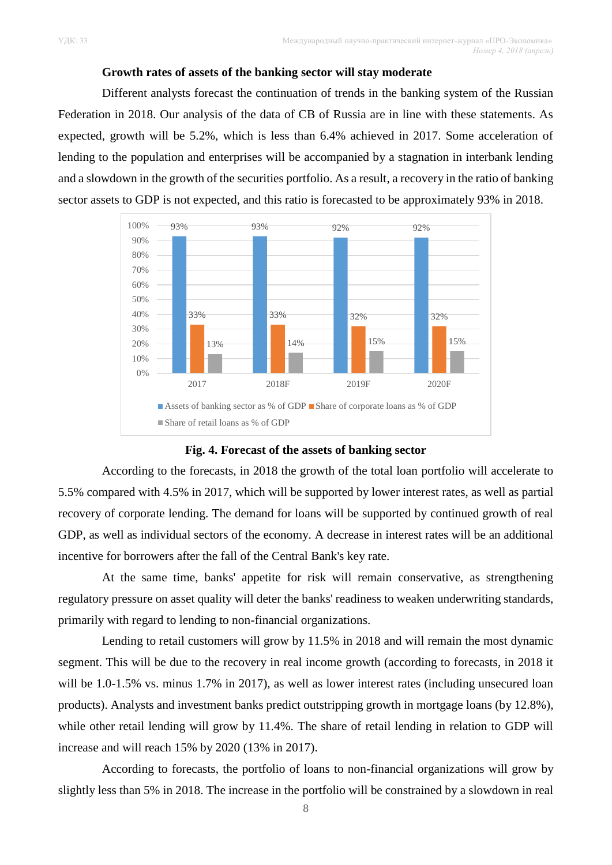### **Growth rates of assets of the banking sector will stay moderate**

Different analysts forecast the continuation of trends in the banking system of the Russian Federation in 2018. Our analysis of the data of CB of Russia are in line with these statements. As expected, growth will be 5.2%, which is less than 6.4% achieved in 2017. Some acceleration of lending to the population and enterprises will be accompanied by a stagnation in interbank lending and a slowdown in the growth of the securities portfolio. As a result, a recovery in the ratio of banking sector assets to GDP is not expected, and this ratio is forecasted to be approximately 93% in 2018.



**Fig. 4. Forecast of the assets of banking sector**

According to the forecasts, in 2018 the growth of the total loan portfolio will accelerate to 5.5% compared with 4.5% in 2017, which will be supported by lower interest rates, as well as partial recovery of corporate lending. The demand for loans will be supported by continued growth of real GDP, as well as individual sectors of the economy. A decrease in interest rates will be an additional incentive for borrowers after the fall of the Central Bank's key rate.

At the same time, banks' appetite for risk will remain conservative, as strengthening regulatory pressure on asset quality will deter the banks' readiness to weaken underwriting standards, primarily with regard to lending to non-financial organizations.

Lending to retail customers will grow by 11.5% in 2018 and will remain the most dynamic segment. This will be due to the recovery in real income growth (according to forecasts, in 2018 it will be 1.0-1.5% vs. minus 1.7% in 2017), as well as lower interest rates (including unsecured loan products). Analysts and investment banks predict outstripping growth in mortgage loans (by 12.8%), while other retail lending will grow by 11.4%. The share of retail lending in relation to GDP will increase and will reach 15% by 2020 (13% in 2017).

According to forecasts, the portfolio of loans to non-financial organizations will grow by slightly less than 5% in 2018. The increase in the portfolio will be constrained by a slowdown in real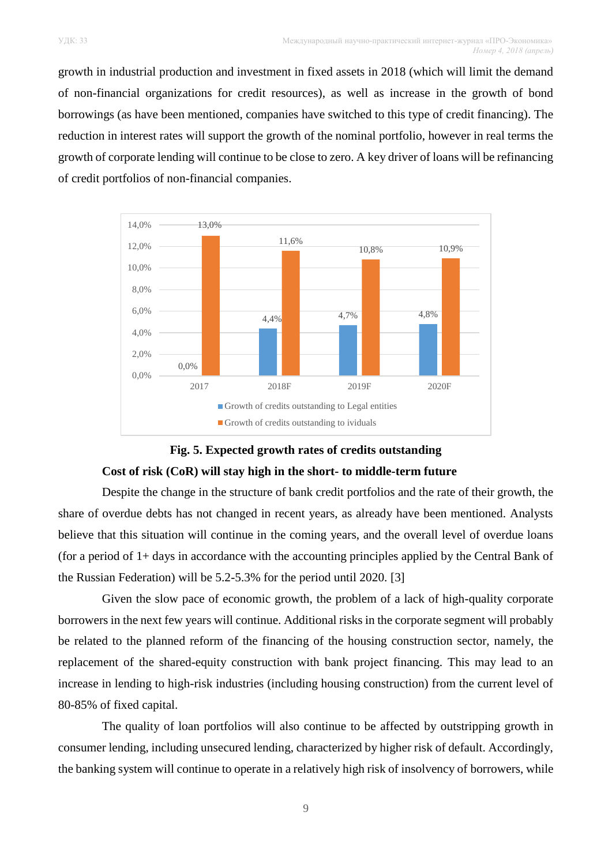growth in industrial production and investment in fixed assets in 2018 (which will limit the demand of non-financial organizations for credit resources), as well as increase in the growth of bond borrowings (as have been mentioned, companies have switched to this type of credit financing). The reduction in interest rates will support the growth of the nominal portfolio, however in real terms the growth of corporate lending will continue to be close to zero. A key driver of loans will be refinancing of credit portfolios of non-financial companies.





Despite the change in the structure of bank credit portfolios and the rate of their growth, the share of overdue debts has not changed in recent years, as already have been mentioned. Analysts believe that this situation will continue in the coming years, and the overall level of overdue loans (for a period of 1+ days in accordance with the accounting principles applied by the Central Bank of the Russian Federation) will be 5.2-5.3% for the period until 2020. [3]

Given the slow pace of economic growth, the problem of a lack of high-quality corporate borrowers in the next few years will continue. Additional risks in the corporate segment will probably be related to the planned reform of the financing of the housing construction sector, namely, the replacement of the shared-equity construction with bank project financing. This may lead to an increase in lending to high-risk industries (including housing construction) from the current level of 80-85% of fixed capital.

The quality of loan portfolios will also continue to be affected by outstripping growth in consumer lending, including unsecured lending, characterized by higher risk of default. Accordingly, the banking system will continue to operate in a relatively high risk of insolvency of borrowers, while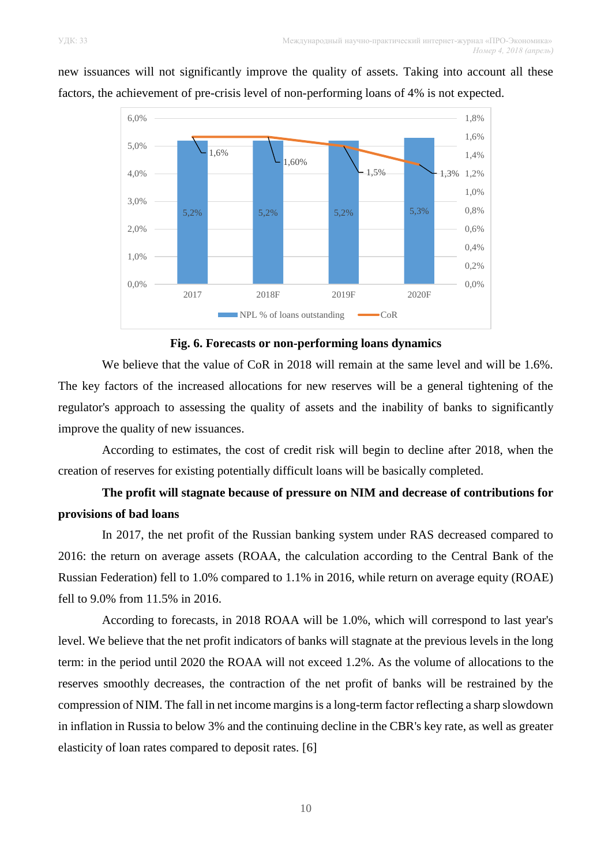

new issuances will not significantly improve the quality of assets. Taking into account all these factors, the achievement of pre-crisis level of non-performing loans of 4% is not expected.

**Fig. 6. Forecasts or non-performing loans dynamics**

We believe that the value of CoR in 2018 will remain at the same level and will be 1.6%. The key factors of the increased allocations for new reserves will be a general tightening of the regulator's approach to assessing the quality of assets and the inability of banks to significantly improve the quality of new issuances.

According to estimates, the cost of credit risk will begin to decline after 2018, when the creation of reserves for existing potentially difficult loans will be basically completed.

# **The profit will stagnate because of pressure on NIM and decrease of contributions for provisions of bad loans**

In 2017, the net profit of the Russian banking system under RAS decreased compared to 2016: the return on average assets (ROAA, the calculation according to the Central Bank of the Russian Federation) fell to 1.0% compared to 1.1% in 2016, while return on average equity (ROAE) fell to 9.0% from 11.5% in 2016.

According to forecasts, in 2018 ROAA will be 1.0%, which will correspond to last year's level. We believe that the net profit indicators of banks will stagnate at the previous levels in the long term: in the period until 2020 the ROAA will not exceed 1.2%. As the volume of allocations to the reserves smoothly decreases, the contraction of the net profit of banks will be restrained by the compression of NIM. The fall in net income margins is a long-term factor reflecting a sharp slowdown in inflation in Russia to below 3% and the continuing decline in the CBR's key rate, as well as greater elasticity of loan rates compared to deposit rates. [6]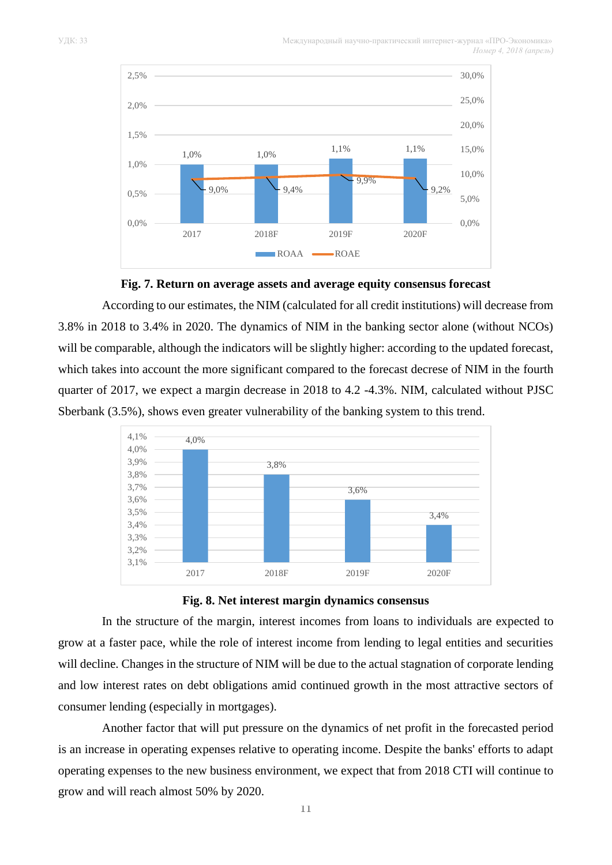



According to our estimates, the NIM (calculated for all credit institutions) will decrease from 3.8% in 2018 to 3.4% in 2020. The dynamics of NIM in the banking sector alone (without NCOs) will be comparable, although the indicators will be slightly higher: according to the updated forecast, which takes into account the more significant compared to the forecast decrese of NIM in the fourth quarter of 2017, we expect a margin decrease in 2018 to 4.2 -4.3%. NIM, calculated without PJSC Sberbank (3.5%), shows even greater vulnerability of the banking system to this trend.





In the structure of the margin, interest incomes from loans to individuals are expected to grow at a faster pace, while the role of interest income from lending to legal entities and securities will decline. Changes in the structure of NIM will be due to the actual stagnation of corporate lending and low interest rates on debt obligations amid continued growth in the most attractive sectors of consumer lending (especially in mortgages).

Another factor that will put pressure on the dynamics of net profit in the forecasted period is an increase in operating expenses relative to operating income. Despite the banks' efforts to adapt operating expenses to the new business environment, we expect that from 2018 CTI will continue to grow and will reach almost 50% by 2020.